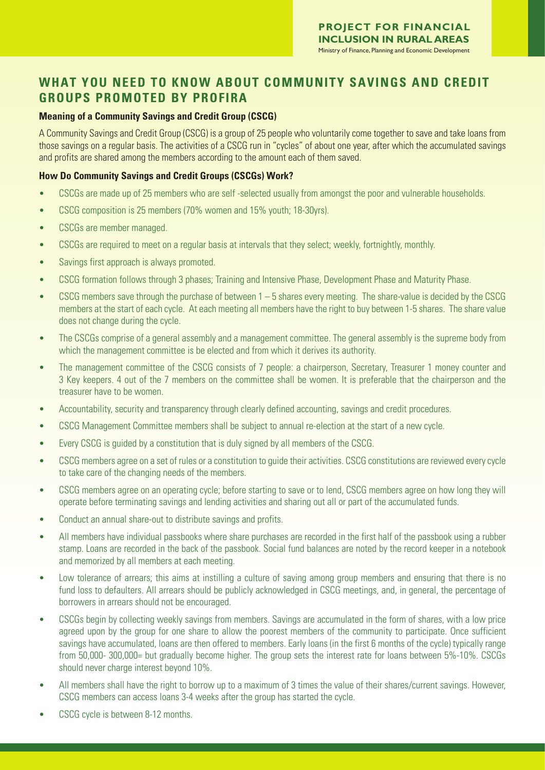# **WHAT YOU NEED TO KNOW ABOUT COMMUNITY SAVINGS AND CREDIT GROUPS PROMOTED BY PROFIRA**

### **Meaning of a Community Savings and Credit Group (CSCG)**

A Community Savings and Credit Group (CSCG) is a group of 25 people who voluntarily come together to save and take loans from those savings on a regular basis. The activities of a CSCG run in "cycles" of about one year, after which the accumulated savings and profits are shared among the members according to the amount each of them saved.

### **How Do Community Savings and Credit Groups (CSCGs) Work?**

- CSCGs are made up of 25 members who are self -selected usually from amongst the poor and vulnerable households.
- CSCG composition is 25 members (70% women and 15% youth; 18-30yrs).
- CSCGs are member managed.
- CSCGs are required to meet on a regular basis at intervals that they select; weekly, fortnightly, monthly.
- Savings first approach is always promoted.
- CSCG formation follows through 3 phases; Training and Intensive Phase, Development Phase and Maturity Phase.
- CSCG members save through the purchase of between 1 5 shares every meeting. The share-value is decided by the CSCG members at the start of each cycle. At each meeting all members have the right to buy between 1-5 shares. The share value does not change during the cycle.
- The CSCGs comprise of a general assembly and a management committee. The general assembly is the supreme body from which the management committee is be elected and from which it derives its authority.
- The management committee of the CSCG consists of 7 people: a chairperson, Secretary, Treasurer 1 money counter and 3 Key keepers. 4 out of the 7 members on the committee shall be women. It is preferable that the chairperson and the treasurer have to be women.
- Accountability, security and transparency through clearly defined accounting, savings and credit procedures.
- CSCG Management Committee members shall be subject to annual re-election at the start of a new cycle.
- Every CSCG is guided by a constitution that is duly signed by all members of the CSCG.
- CSCG members agree on a set of rules or a constitution to guide their activities. CSCG constitutions are reviewed every cycle to take care of the changing needs of the members.
- CSCG members agree on an operating cycle; before starting to save or to lend, CSCG members agree on how long they will operate before terminating savings and lending activities and sharing out all or part of the accumulated funds.
- Conduct an annual share-out to distribute savings and profits.
- All members have individual passbooks where share purchases are recorded in the first half of the passbook using a rubber stamp. Loans are recorded in the back of the passbook. Social fund balances are noted by the record keeper in a notebook and memorized by all members at each meeting.
- Low tolerance of arrears; this aims at instilling a culture of saving among group members and ensuring that there is no fund loss to defaulters. All arrears should be publicly acknowledged in CSCG meetings, and, in general, the percentage of borrowers in arrears should not be encouraged.
- CSCGs begin by collecting weekly savings from members. Savings are accumulated in the form of shares, with a low price agreed upon by the group for one share to allow the poorest members of the community to participate. Once sufficient savings have accumulated, loans are then offered to members. Early loans (in the first 6 months of the cycle) typically range from 50,000- 300,000= but gradually become higher. The group sets the interest rate for loans between 5%-10%. CSCGs should never charge interest beyond 10%.
- All members shall have the right to borrow up to a maximum of 3 times the value of their shares/current savings. However, CSCG members can access loans 3-4 weeks after the group has started the cycle.
- CSCG cycle is between 8-12 months.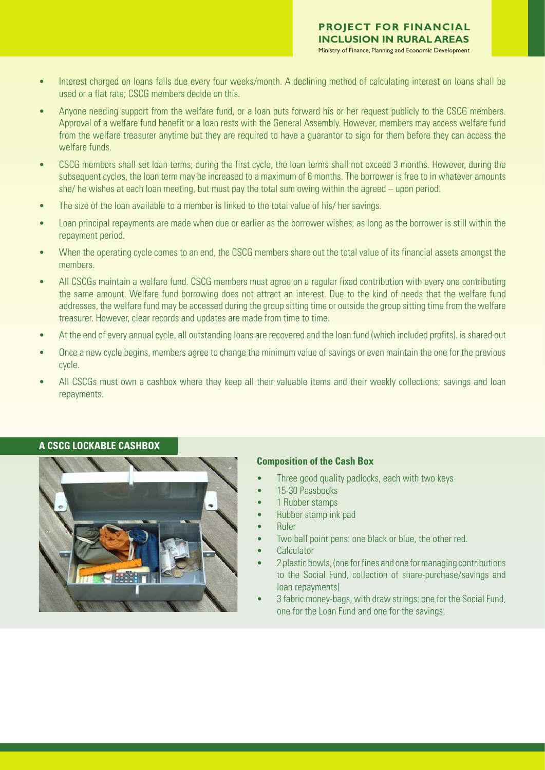- Interest charged on loans falls due every four weeks/month. A declining method of calculating interest on loans shall be used or a flat rate; CSCG members decide on this.
- Anyone needing support from the welfare fund, or a loan puts forward his or her request publicly to the CSCG members. Approval of a welfare fund benefit or a loan rests with the General Assembly. However, members may access welfare fund from the welfare treasurer anytime but they are required to have a guarantor to sign for them before they can access the welfare funds.
- CSCG members shall set loan terms; during the first cycle, the loan terms shall not exceed 3 months. However, during the subsequent cycles, the loan term may be increased to a maximum of 6 months. The borrower is free to in whatever amounts she/ he wishes at each loan meeting, but must pay the total sum owing within the agreed – upon period.
- The size of the loan available to a member is linked to the total value of his/ her savings.
- Loan principal repayments are made when due or earlier as the borrower wishes; as long as the borrower is still within the repayment period.
- When the operating cycle comes to an end, the CSCG members share out the total value of its financial assets amongst the members.
- All CSCGs maintain a welfare fund. CSCG members must agree on a regular fixed contribution with every one contributing the same amount. Welfare fund borrowing does not attract an interest. Due to the kind of needs that the welfare fund addresses, the welfare fund may be accessed during the group sitting time or outside the group sitting time from the welfare treasurer. However, clear records and updates are made from time to time.
- At the end of every annual cycle, all outstanding loans are recovered and the loan fund (which included profits). is shared out
- Once a new cycle begins, members agree to change the minimum value of savings or even maintain the one for the previous cycle.
- All CSCGs must own a cashbox where they keep all their valuable items and their weekly collections; savings and loan repayments.



## **A CSCG LOCKABLE CASHBOX**

#### **Composition of the Cash Box**

- Three good quality padlocks, each with two keys
- 15-30 Passbooks
- 1 Rubber stamps
- Rubber stamp ink pad
- Ruler
- Two ball point pens: one black or blue, the other red.
- **Calculator**
- 2 plastic bowls, (one for fines and one for managing contributions to the Social Fund, collection of share-purchase/savings and loan repayments)
- 3 fabric money-bags, with draw strings: one for the Social Fund, one for the Loan Fund and one for the savings.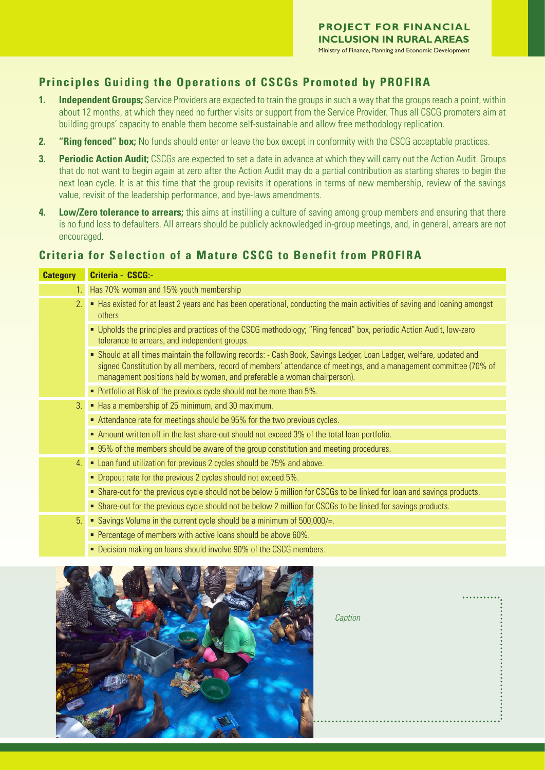## **Principles Guiding the Operations of CSCGs Promoted by PROFIRA**

- **1. Independent Groups;** Service Providers are expected to train the groups in such a way that the groups reach a point, within about 12 months, at which they need no further visits or support from the Service Provider. Thus all CSCG promoters aim at building groups' capacity to enable them become self-sustainable and allow free methodology replication.
- **2. "Ring fenced" box;** No funds should enter or leave the box except in conformity with the CSCG acceptable practices.
- **3. Periodic Action Audit;** CSCGs are expected to set a date in advance at which they will carry out the Action Audit. Groups that do not want to begin again at zero after the Action Audit may do a partial contribution as starting shares to begin the next loan cycle. It is at this time that the group revisits it operations in terms of new membership, review of the savings value, revisit of the leadership performance, and bye-laws amendments.
- **4. Low/Zero tolerance to arrears;** this aims at instilling a culture of saving among group members and ensuring that there is no fund loss to defaulters. All arrears should be publicly acknowledged in-group meetings, and, in general, arrears are not encouraged.

## **Criteria for Selection of a Mature CSCG to Benefit from PROFIRA**

| <b>Category</b> | Criteria - CSCG:-                                                                                                                                                                                                                                                                                                     |
|-----------------|-----------------------------------------------------------------------------------------------------------------------------------------------------------------------------------------------------------------------------------------------------------------------------------------------------------------------|
| 1.              | Has 70% women and 15% youth membership                                                                                                                                                                                                                                                                                |
| 2.              | • Has existed for at least 2 years and has been operational, conducting the main activities of saving and loaning amongst<br>others                                                                                                                                                                                   |
|                 | " Upholds the principles and practices of the CSCG methodology; "Ring fenced" box, periodic Action Audit, low-zero<br>tolerance to arrears, and independent groups.                                                                                                                                                   |
|                 | • Should at all times maintain the following records: - Cash Book, Savings Ledger, Loan Ledger, welfare, updated and<br>signed Constitution by all members, record of members' attendance of meetings, and a management committee (70% of<br>management positions held by women, and preferable a woman chairperson). |
|                 | • Portfolio at Risk of the previous cycle should not be more than 5%.                                                                                                                                                                                                                                                 |
| 3.              | Has a membership of 25 minimum, and 30 maximum.                                                                                                                                                                                                                                                                       |
|                 | ■ Attendance rate for meetings should be 95% for the two previous cycles.                                                                                                                                                                                                                                             |
|                 | Amount written off in the last share-out should not exceed 3% of the total loan portfolio.                                                                                                                                                                                                                            |
|                 | • 95% of the members should be aware of the group constitution and meeting procedures.                                                                                                                                                                                                                                |
| 4.              | • Loan fund utilization for previous 2 cycles should be 75% and above.                                                                                                                                                                                                                                                |
|                 | • Dropout rate for the previous 2 cycles should not exceed 5%.                                                                                                                                                                                                                                                        |
|                 | • Share-out for the previous cycle should not be below 5 million for CSCGs to be linked for loan and savings products.                                                                                                                                                                                                |
|                 | • Share-out for the previous cycle should not be below 2 million for CSCGs to be linked for savings products.                                                                                                                                                                                                         |
| 5.              | Savings Volume in the current cycle should be a minimum of 500,000/=.                                                                                                                                                                                                                                                 |
|                 | • Percentage of members with active loans should be above 60%.                                                                                                                                                                                                                                                        |
|                 | • Decision making on loans should involve 90% of the CSCG members.                                                                                                                                                                                                                                                    |



| Caption |  |
|---------|--|
|         |  |
|         |  |
|         |  |